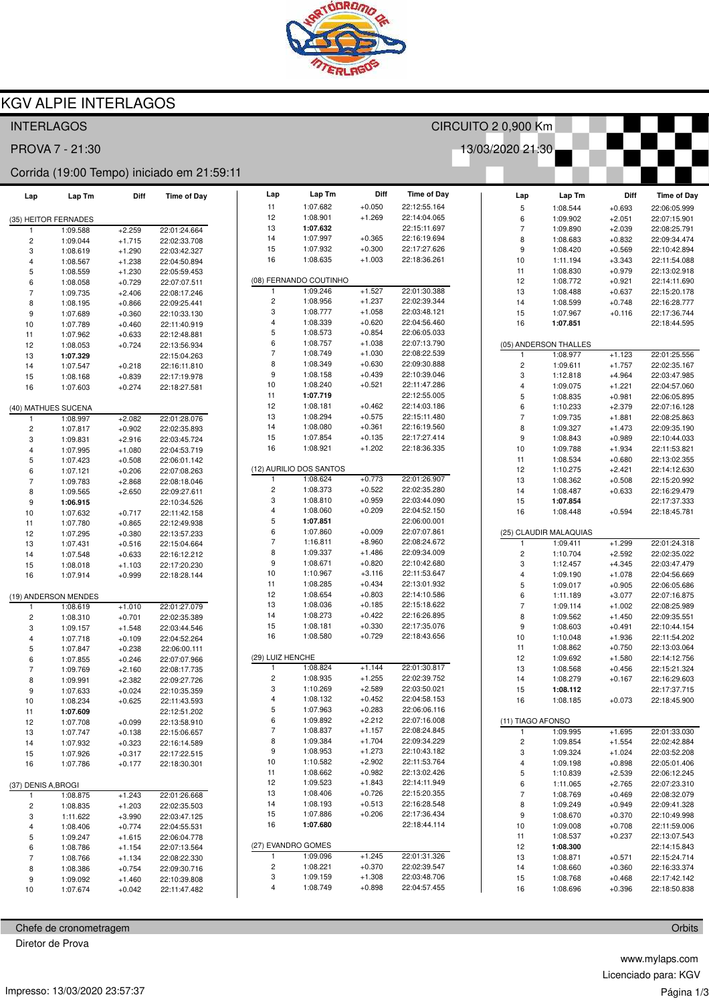

## **KGV ALPIE INTERLAGOS**

### **INTERLAGOS** CIRCUITO 2 0,900 Km 13/03/2020 21:30 PROVA 7 - 21:30 Corrida (19:00 Tempo) iniciado em 21:59:11 Diff Lap Lap Tm **Time of Day** Diff Lap Lap Tm Diff **Time of Day** Lap Lap Tm **Time of Dav**  $+0.050$  $11$ 1:07.682 22:12:55.164  $+0.693$  $\overline{5}$ 1:08.544 22:06:05.999  $12$ 1:08.901  $+1.269$ 22:14:04.065  $1.09902$ 22:07:15.901 (35) HEITOR FERNADES  $\epsilon$  $+2051$ 22:15:11.697  $13$ 1:07.632 22:01:24.664 1:09.890  $+2.039$ 22:08:25.791 1:09.588  $+2.259$  $\overline{7}$ 1:07.997  $+0.365$  $\overline{c}$ 1:09.044  $+1.715$ 22:02:33.708  $14$ 22:16:19.694  $\mathbf{a}$  $1.08683$  $+0.832$ 22:09:34 474 15  $1.07932$  $+0.300$  $22.17.27626$ 9 1:08.420  $+0.569$ 22:10:42.894 3 1:08.619  $+1.290$ 22:03:42.327 16 1:08.635  $+1.003$ 22:18:36.261  $10$ 1:11.194  $+3.343$ 22:11:54.088  $\overline{4}$ 1:08.567  $+1.238$ 22:04:50.894  $11$  $1.08830$  $+0.979$ 22:13:02.918 5  $1.08559$  $+1.230$ 22:05:59 453 (08) FERNANDO COUTINHO  $12$ 1:08.772  $+0.921$ 22:14:11.690  $\epsilon$  $1.08058$  $+0.729$ 22:07:07.511 1:09.246  $+1.527$ 22:01:30.388  $\overline{7}$ 1:09.735  $+2.406$ 22:08:17.246 13 1:08.488  $+0.637$ 22:15:20.178  $\overline{2}$  $1.08956$  $+1.237$ 22:02:39.344 8 1:08.195  $+0.866$ 22:09:25.441  $14$  $1.08599$  $+0.748$ 22:16:28 777  $1:08777$  $+1.058$ 22:03:48 121  $\mathcal{R}$ 15  $1.07967$  $+0.116$ 22:17:36 744 9 1:07.689  $+0.360$ 22:10:33.130  $\overline{4}$ 1:08.339  $+0.620$ 22:04:56.460 16 1:07.851 22:18:44.595  $10$ 1:07.789  $+0.460$ 22:11:40.919  $+0.633$ 5 1:08.573  $+0.854$ 22:06:05.033  $11$ 1:07.962 22:12:48.881  $\hat{a}$  $1.08757$  $+1.038$ 22:07:13.790 (05) ANDERSON THALLES  $12$ 1:08.053  $+0.724$ 22:13:56.934 1:08.749  $+1.030$ 22:08:22.539  $\overline{7}$  $+1.123$ 22:01:25.556  $13$ 1:07.329 22:15:04.263  $1.0897$ 8 1:08.349  $+0.630$ 22:09:30.888  $\overline{2}$  $+1.757$  $+0.218$ 1:09.611 22:02:35.167  $14$  $1.07547$ 22:16:11 810  $\mathbf{q}$ 1:08.158  $+0.439$ 22:10:39.046  $15$ 1:08.168  $+0.839$ 22:17:19 978  $\mathcal{B}$  $1.12818$  $+4.964$ 22:03:47.985 1:08.240  $10$  $+0.521$ 22:11:47.286 16 1:07.603  $+0.274$ 22:18:27.581  $\overline{4}$  $1:09.075$  $+1.221$ 22:04:57.060  $11$ 1:07.719 22:12:55.005 5 1:08.835  $+0.981$ 22:06:05.895  $12$ 1:08.181  $+0.462$ 22:14:03 186  $\,6$ 1:10.233  $+2.379$ 22:07:16.128 (40) MATHUES SUCENA  $12$  $1.08.294$  $+0.575$ 22:15:11 480  $+2.082$ 22:01:28.076  $\overline{7}$ 1:09.735  $+1.881$ 22:08:25.863 1:08.997  $14$ 1:08.080  $+0.361$ 22:16:19.560  $\overline{8}$ 1:09.327  $+1.473$ 22:09:35.190  $\overline{2}$  $1.07817$  $+0.902$ 22:02:35.893 1:07.854 22:17:27.414 15  $+0.135$ 9 1:08.843  $+0.989$ 22:10:44.033 3 1:09.831  $+2.916$ 22:03:45.724 16 1:08.921  $+1.202$ 22:18:36.335  $\overline{A}$ 1:07.995  $+1.080$ 22:04:53.719  $10$ 1:09.788  $+1.934$ 22:11:53.821 1:07.423  $+0.508$ 22:06:01.142  $11$  $1.08534$  $+0.680$ 22:13:02.355 5 (12) AURILIO DOS SANTOS  $+0.206$ 22:07:08.263  $12$  $1:10.275$  $+2421$ 22:14:12.630 6 1:07.121 22:01:26.907  $+0.773$ 1:09.783  $+2.868$ 22:08:18.046 1  $1.08624$  $13$ 1:08.362  $+0.508$ 22:15:20.992  $\overline{c}$ 1:08.373  $+0.522$ 22:02:35.280  $14$ 1:08.487  $+0.633$ 22:16:29.479 1:09.565  $+2.650$ 22:09:27.611 8  $\overline{3}$ 1:08.810  $+0.959$ 22:03:44.090 15 1:07.854 22:17:37.333  $\overline{9}$ 22:10:34.526 1:06.915 1:08.060  $+0.209$ 22:04:52.150  $10$  $+0.717$  $\overline{4}$ 16 1:08.448  $+0.594$ 22:18:45.781  $1.07632$ 22:11:42.158 5 1:07.851 22:06:00.001  $11$ 1:07.780  $+0.865$ 22:12:49.938  $+0.009$  $\overline{6}$  $1.07860$ 22:07:07 861 (25) CLAUDIR MALAQUIAS  $12$ 1:07.295  $+0.380$ 22:13:57.233  $+8.960$ 22:08:24.672  $\overline{7}$ 1:16.811  $13$  $1:07431$  $+0.516$ 22:15:04 664  $1:09.411$  $+1.299$ 22:01:24.318 1:09.337  $+1.486$ 22:09:34.009 8  $\overline{2}$ 1:10.704  $+2.592$ 22:02:35.022  $14$ 1:07.548  $+0.633$ 22:16:12.212  $\mathbf{q}$  $1.08671$  $+0.820$ 22:10:42.680 1:08.018  $+1.103$ 22:17:20.230 3 1:12.457  $+4.345$ 22:03:47.479  $15$  $10$  $1.10967$  $+3,116$ 22:11:53.647  $\overline{4}$ 1:09.190  $+1.078$ 22:04:56.669 22:18:28.144 16 1:07.914  $+0.999$  $11$ 1:08.285  $+0.434$ 22:13:01.932 5 1:09.017  $+0.905$ 22:06:05.686  $+0.803$ 22:14:10.586  $12$ 1:08.654  $6\overline{6}$ 1:11.189  $+3.077$ 22:07:16.875 (19) ANDERSON MENDES  $13$ 1:08.036  $+0.185$ 22:15:18.622 22:08:25.989  $\overline{7}$ 1:09.114  $+1.002$  $1.08619$  $+1.010$ 22:01:27.079  $14$ 1:08.273  $+0.422$ 22:16:26.895  $\mathbf{a}$ 22:09:35.551  $\circ$  $1.08310$  $+0.701$ 22:02:35.389  $1.09562$  $+1450$  $+0.330$ 15 1:08.181 22:17:35.076 3 1:09.157  $+1.548$ 22:03:44.546  $\mathsf{q}$  $1.08603$  $+0.491$ 22:10:44 154 16  $1.08580$  $+0.729$ 22:18:43.656  $10$  $1.10048$  $+1.936$ 22:11:54 202  $\overline{4}$ 1:07.718  $+0.109$ 22:04:52.264  $11$ 1:08.862  $+0.750$ 22:13:03.064  $+0.238$ 22:06:00.111 5 1:07.847 (29) LUIZ HENCHE  $12$ 1:09.692  $+1.580$ 22:14:12.756  $\overline{6}$ 1:07.855  $+0.246$ 22:07:07.966 1:08.824  $+1.144$ 22:01:30.817  $13$ 1:08.568  $+0.456$ 22:15:21.324  $\overline{7}$ 1:09.769  $+2.160$ 22:08:17.735  $\overline{2}$  $1.08935$  $+1.255$ 22:02:39 752 1:08.279 22:16:29.603  $\mathsf{R}$  $1.09.991$  $+2.382$ 22:09:27.726 14  $+0.167$  $\overline{3}$ 1:10.269  $+2.589$ 22:03:50.021 15 1:08.112 22:17:37 715 1:07.633  $+0.024$ 22:10:35.359 9 22:04:58.153  $\overline{4}$ 1:08.132  $+0.452$  $+0.073$  $10$ 1:08.234  $+0.625$ 22:11:43.593 16 1:08.185 22:18:45.900 1:07.963  $+0.283$ 22:06:06.116 5  $11$ 1:07.609 22:12:51.202 6 1:09.892  $+2.212$ 22:07:16.008 (11) TIAGO AFONSO  $12$ 1:07.708  $+0.099$ 22:13:58.910  $\overline{7}$  $1.08.837$  $+1157$ 22:08:24 845  $+1.695$ 22:01:33.030  $13$ 1:07.747  $+0.138$ 22:15:06.657 1:09.995 8 1:09.384  $+1.704$ 22:09:34.229 22:16:14.589  $\overline{c}$ 1:09.854  $+1.554$ 22:02:42.884  $+0.323$  $14$ 1:07.932  $\mathbf{q}$ 1:08.953  $+1.273$ 22:10:43.182 3  $1.09324$  $+1.024$ 22:03:52.208  $15$  $1.07926$  $+0.317$ 22:17:22.515  $+2.902$ 22:11:53.764  $+0.898$ 22:05:01.406  $10$ 1:10.582  $\overline{4}$  $1:09198$ 22:18:30.301  $16$  $1.07786$  $+0.177$  $11$ 1:08.662  $+0.982$ 22:13:02.426  $+2.539$ 5 1:10.839 22:06:12.245 22:14:11.949 (37) DENIS A, BROGI  $12$ 1:09.523  $+1.843$ 6 1:11.065  $+2.765$ 22:07:23.310  $13$  $1.08406$  $+0.726$ 22:15:20.355 1:08.769  $+0.469$ 22:08:32.079 1:08.875  $+1.243$ 22:01:26.668  $\overline{7}$  $14$ 1:08.193  $+0.513$ 22:16:28.548  $\mathbf{a}$  $1.09249$  $+0.949$ 22:09:41.328  $\overline{c}$ 1:08.835  $+1.203$ 22:02:35.503  $15$ 1:07.886  $+0.206$ 22:17:36.434  $\overline{3}$  $1:11.622$  $+3.990$ 22:03:47.125  $\overline{9}$ 1:08.670  $+0.370$ 22:10:49.998  $16$ 1:07.680 22:18:44.114  $10$ 1:09.008  $+0.708$ 22:11:59.006 1:08.406 22:04:55.531  $\overline{4}$  $+0.774$  $1:08.537$  $+0.237$ 22:13:07.543  $11$ 5  $1.09247$  $+1.615$ 22:06:04 778 (27) EVANDRO GOMES  $12$ 1:08.300 22:14:15.843  $\epsilon$  $1.08.786$  $+1,154$ 22:07:13.564 1:09.096  $+1.245$ 22:01:31.326 1:08.766  $+1.134$ 22:08:22.330 1  $13$  $1.08.871$  $+0.571$ 22:15:24 714  $\overline{z}$  $\overline{2}$  $1.08221$  $+0.370$ 22:02:39.547  $14$ 1:08.660  $+0.360$ 22:16:33.374 8 1:08.386  $+0.754$ 22:09:30.716 3 1:09.159  $+1.308$ 22:03:48.706 9 1:09.092  $+1.460$ 22:10:39.808 15  $1:08768$  $+0.468$  $22.17.42142$  $\overline{A}$ 1:08.749  $+0.898$ 22:04:57.455  $16$ 1:08.696  $+0.396$ 22:18:50.838  $10$ 1:07.674  $+0.042$ 22:11:47.482

Chefe de cronometragem

Diretor de Prova

www.mylaps.com Licenciado para: KGV Página 1/3

Orbits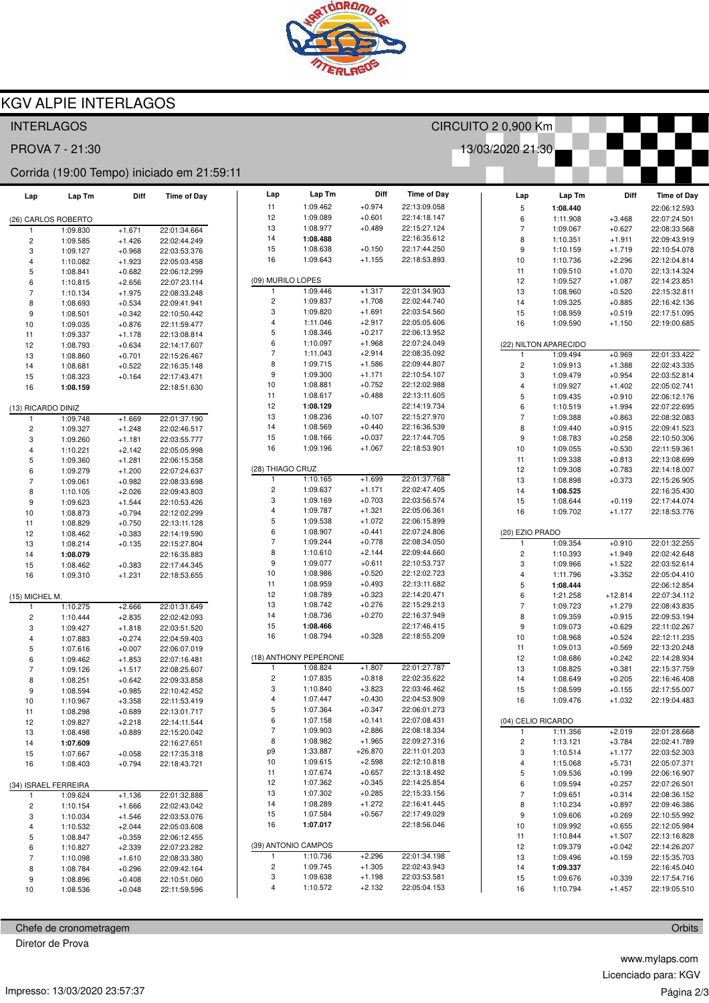

## **KGV ALPIE INTERLAGOS**

### **INTERLAGOS** CIRCUITO 2 0,900 Km 13/03/2020 21:30 PROVA 7 - 21:30 Corrida (19:00 Tempo) iniciado em 21:59:11 Diff Lap Lap Tm **Time of Day** Diff Lap Lap Tm Diff **Time of Day** Lap Lap Tm **Time of Dav**  $+0.974$  $11$ 1:09.462 22:13:09.058 1:08.440  $\overline{5}$ 22:06:12.593  $12$ 1:09.089  $+0.601$ 22:14:18.147  $1.11908$  $+3.468$ 22:07:24 501 (26) CARLOS ROBERTO  $\epsilon$  $1:08.977$  $+0.489$ 22:15:27.124  $13$ 22:01:34.664 1:09.067  $+0.627$ 22:08:33.568 1:09.830  $+1.671$  $\overline{7}$ 1:08.488 22:16:35.612  $\overline{c}$ 1:09.585  $+1.426$ 22:02:44.249  $14$  $\mathbf{a}$  $1:10.351$  $+1.911$ 22:09:43.919 15  $1.08638$  $+0.150$ 22:17:44 250 9 1:10.159  $+1.719$ 22:10:54.078 3 1:09.127  $+0.968$ 22:03:53.376 16 1:09.643  $+1.155$ 22:18:53.893  $10$ 1:10.736  $+2.296$ 22:12:04.814  $\overline{4}$ 1:10.082  $+1.923$ 22:05:03.458  $11$  $1:09.510$  $+1.070$ 22:13:14.324 5  $1.08841$  $+0.682$ 22:06:12.299 (09) MURILO LOPES  $12$ 1:09.527  $+1.087$ 22:14:23.851  $+2656$  $\epsilon$  $1:10.815$ 22:07:23 114 1:09.446  $+1.317$ 22:01:34.903  $+0.520$  $\overline{7}$ 1:10.134  $+1.975$ 22:08:33.248 1 13 1:08.960 22:15:32.811  $\overline{2}$  $1.09837$  $+1,708$ 22:02:44.740 8 1:08.693  $+0.534$ 22:09:41.941  $14$  $1.09.325$  $+0.885$ 22:16:42 136  $1.09820$  $+1691$ 22:03:54.560  $\mathcal{R}$ 15  $1.08959$  $+0.519$ 22:17:51.095 9 1:08.501  $+0.342$ 22:10:50.442 22:05:05.606  $\overline{4}$ 1:11.046  $+2.917$ 16 1:09.590  $+1.150$ 22:19:00.685  $10$ 1:09.035  $+0.876$ 22:11:59.477 5 1:08.346  $+0.217$ 22:06:13.952  $11$ 1:09.337  $+1.178$ 22:13:08.814  $\hat{a}$  $1:10.097$  $+1.968$ 22:07:24 049 (22) NILTON APARECIDO  $+0.634$  $12$ 1:08.793 22:14:17.607 1:11.043  $+2.914$ 22:08:35.092  $\overline{7}$  $+0.969$ 22:01:33 422  $13$  $1.08.860$  $+0.701$ 22:15:26 467  $1.09494$ 8 1:09.715  $+1.586$ 22:09:44.807  $\overline{2}$ 1:09.913  $+1.388$ 22:02:43.335  $14$  $1.08681$  $+0.522$ 22:16:35.148  $\mathbf{q}$ 1:09.300  $+1.171$ 22:10:54.107  $15$ 1:08.323  $+0.164$ 22:17:43.471  $\mathcal{B}$  $1:09.479$  $+0.954$ 22:03:52 814  $+0.752$  $10$ 1:08.881 22:12:02.988 16 1:08.159 22:18:51.630  $\overline{4}$  $1.09927$  $+1402$ 22:05:02.741  $11$ 1:08.617  $+0.488$ 22:13:11.605 5 1:09.435  $+0.910$ 22:06:12.176  $12$ 1:08.129 22:14:19 734  $\,6$ 1:10.519  $+1.994$ 22:07:22.695 (13) RICARDO DINIZ  $12$  $1.08.236$  $+0.107$ 22:15:27.970 1:09.748  $+1.669$ 22:01:37.190  $\overline{7}$ 1:09.388  $+0.863$ 22:08:32.083  $14$ 1:08.569  $+0.440$ 22:16:36.539  $\overline{8}$ 1:09.440  $+0.915$ 22:09:41.523  $\overline{2}$  $1.09.327$  $+1.248$ 22:02:46.517 1:08.166  $+0.037$ 22:17:44.705 15 9 1:08.783  $+0.258$ 22:10:50.306 3 1:09.260  $+1.181$ 22:03:55.777 16 1:09.196  $+1.067$ 22:18:53.901  $\overline{A}$  $1:10.221$  $+2.142$ 22:05:05.998  $10$ 1:09.055  $+0.530$ 22:11:59.361 1:09.360 22:06:15.358  $11$  $1.09.338$  $+0.813$ 22:13:08.699 5  $+1.281$ (28) THIAGO CRUZ  $+1.200$ 22:07:24.637  $12$  $1.09.308$  $+0.783$ 22:14:18.007 6 1:09.279  $+1699$ 22:01:37.768 1:09.061  $+0.982$ 22:08:33.698 1  $1:10.165$  $13$ 1:08.898  $+0.373$ 22:15:26.905  $\overline{c}$ 1:09.637  $+1.171$ 22:02:47.405  $14$ 1:08.525 22:16:35.430 1:10.105  $+2.026$ 22:09:43.803 8  $\overline{3}$ 1:09.169  $+0.703$ 22:03:56.574  $+0.119$ 22:17:44.074  $+1.544$ 22:10:53.426 15 1:08.644  $\overline{9}$  $1.09623$ 1:09.787  $+1.321$ 22:05:06.361  $10$  $1.08873$  $+0.794$ 22:12:02.299  $\overline{4}$ 16 1:09.702  $+1.177$ 22:18:53.776 5 1:09.538  $+1.072$ 22:06:15.899  $11$  $1.08829$  $+0.750$ 22:13:11 128  $\overline{6}$  $1.08.907$  $+0.441$ 22:07:24 806  $12$ 1:08.462  $+0.383$ 22:14:19.590 (20) EZIO PRADO 1:09.244  $+0.778$ 22:08:34.050  $\overline{7}$  $13$  $1.08214$  $+0.135$ 22:15:27 804 1:09.354  $+0.910$ 22:01:32.255 1:10.610  $+2.144$ 22:09:44.660 22:16:35.883 8  $\overline{2}$ 1:10.393  $+1.949$ 22:02:42.648  $14$ 1:08.079  $\mathbf{q}$  $+0.611$ 22:10:53.737 1:08.462  $+0.383$ 22:17:44.345  $1:09.077$ 3 1:09.966  $+1.522$ 22:03:52.614  $15$  $10$  $1.08986$  $+0.520$  $22.12 - 02723$  $\overline{4}$ 1:11.796  $+3.352$ 22:05:04 410  $+1.231$ 22:18:53.655 16 1:09.310  $11$ 1:08.959  $+0.493$ 22:13:11.682 5 1:08.444 22:06:12.854  $+0.323$ 22:14:20.471  $12$ 1:08.789  $6\overline{6}$ 1:21.258  $+12.814$ 22:07:34.112 (15) MICHEL M 22:15:29.213  $13$ 1:08.742  $+0.276$ 22:08:43.835  $\overline{7}$  $1:09.723$  $+1.279$  $1.10275$  $+2666$ 22:01:31.649  $14$ 1:08.736  $+0.270$ 22:16:37.949  $\mathbf{a}$  $+0.915$ 22:09:53 194  $\circ$  $1.10444$  $+2835$ 22:02:42.093  $1.09.359$ 1:08.466 22:17:46.415 15 3 1:09.427  $+1.818$ 22:03:51.520  $\mathsf{q}$  $1.09.073$  $+0.629$ 22:11:02.267  $+0.328$ 16  $1.08794$ 22:18:55.209  $10$  $1.08968$  $+0.524$ 22:12:11 235  $\overline{4}$ 1:07.883  $+0.274$ 22:04:59.403  $11$ 1:09.013  $+0.569$ 22:13:20.248  $1.07616$  $+0.007$ 22:06:07.019 5 (18) ANTHONY PEPERONE  $+0.242$  $12$ 1:08.686 22:14:28.934  $\overline{6}$  $1.09462$  $+1.853$ 22:07:16.481 1:08.824  $+1.807$ 22:01:27.787  $13$ 1:08.825  $+0.381$ 22:15:37.759  $+1.517$  $\overline{7}$ 1:09.126 22:08:25.607  $\overline{2}$  $1:07.835$  $+0.818$ 22:02:35.622  $+0.205$ 1:08.649 22:16:46.408  $\mathsf{R}$  $1.08251$  $+0.642$ 22:09:33 858 14  $\overline{3}$  $1:10.840$  $+3.823$ 22:03:46.462 15  $1.08.599$  $+0.155$ 22:17:55.007 1:08.594  $+0.985$ 22:10:42.452 9  $+0.430$ 22:04:53.909  $\overline{4}$ 1:07.447  $10$ 1:10.967  $+3.358$ 22:11:53.419 16 1:09.476  $+1.032$ 22:19:04.483 1:07.364  $+0.347$ 22:06:01.273 5  $11$ 1:08.298  $+0.689$ 22:13:01.717 6 1:07.158  $+0.141$ 22:07:08.431 (04) CELIO RICARDO  $12$ 1:09.827  $+2.218$ 22:14:11.544  $\overline{7}$  $1.09.903$  $+2886$ 22:08:18.334  $+2.019$ 22:01:28.668  $13$  $1.08498$  $+0.889$ 22:15:20.042 1:11.356  $\mathbf{a}$ 1:08.982  $+1.965$ 22:09:27.316  $\overline{c}$ 1:13.121  $+3.784$ 22:02:41.789 1:07.609  $14$ 22:16:27.651  $p^{Q}$ 1:33.887  $+26.870$ 22:11:01.203  $+0.058$ 3 1:10.514  $+1.177$ 22:03:52.303  $15$  $1.07667$ 22:17:35.318 .<br>10 22:12:10.818 1:09.615  $+2.598$  $\overline{4}$ 1:15.068  $+5.731$ 22:05:07.371  $+0.794$  $16$  $1.08403$ 22:18:43.721  $11$ 1:07.674  $+0.657$ 22:13:18.492  $\overline{5}$ 1:09.536  $+0.199$ 22:06:16.907 1:07.362  $+0.345$ 22:14:25.854 (34) ISRAEL FERREIRA  $12$ 6 1:09.594  $+0.257$ 22:07:26.501  $13$  $1:07.302$  $+0.285$ 22:15:33.156 1:09.651  $+0.314$ 22:08:36.152 1:09.624  $+1.136$ 22:01:32.888  $\overline{7}$  $14$ 1:08.289  $+1.272$ 22:16:41.445  $\overline{a}$  $1:10.234$  $+0.897$ 22:09:46.386  $\overline{c}$  $1:10.154$  $+1.666$ 22:02:43.042  $15$ 1:07.584  $+0.567$ 22:17:49.029  $\overline{3}$  $1:10.034$  $+1.546$ 22:03:53.076  $\overline{9}$ 1:09.606  $+0.269$ 22:10:55.992  $16$ 1:07.017 22:18:56.046  $10$ 1:09.992  $+0.655$ 22:12:05.984 1:10.532  $+2.044$  $\overline{4}$ 22:05:03.608  $1.10844$  $+1.507$ 22:13:16 828  $11$ 5  $1.08847$  $+0.359$ 22:06:12.455 (39) ANTONIO CAMPOS  $12$ 1:09.379  $+0.042$ 22:14:26.207  $\epsilon$  $1.10.827$  $+2.339$ 22:07:23.282 1:10.736  $+2.296$ 22:01:34.198 1:10.098  $+1.610$ 22:08:33.380 1  $13$  $1.09496$  $+0.159$ 22:15:35.703  $\overline{z}$  $\overline{2}$  $1.09745$  $+1.305$ 22:02:43.943  $+0.296$  $14$ 1:09.337 22:16:45.040 8 1:08.784 22:09:42.164 3 1:09.638  $+1.198$ 22:03:53.581 9 1:08.896  $+0.408$ 22:10:51.060 15  $1:09676$  $+0.339$ 22:17:54 716  $\overline{A}$ 1:10.572  $+2.132$ 22:05:04 153  $16$  $+1.457$ 22:19:05.510  $10$ 1:08.536  $+0.048$ 22:11:59.596 1:10.794

Chefe de cronometragem

Diretor de Prova

www.mylaps.com Licenciado para: KGV Página 2/3

Orbits